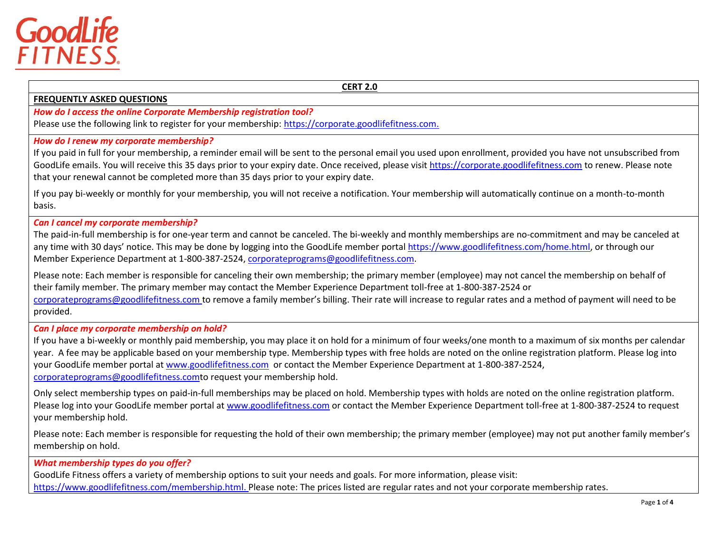

#### **CERT 2.0**

#### **FREQUENTLY ASKED QUESTIONS**

*How do I access the online Corporate Membership registration tool?*

Please use the following link to register for your membership: [https://corporate.goodlifefitness.com.](https://corporate.goodlifefitness.com/)

#### *How do I renew my corporate membership?*

If you paid in full for your membership, a reminder email will be sent to the personal email you used upon enrollment, provided you have not unsubscribed from GoodLife emails. You will receive this 35 days prior to your expiry date. Once received, please visit [https://corporate.goodlifefitness.com](https://corporate.goodlifefitness.com/) to renew. Please note that your renewal cannot be completed more than 35 days prior to your expiry date.

If you pay bi-weekly or monthly for your membership, you will not receive a notification. Your membership will automatically continue on a month-to-month basis.

#### *Can I cancel my corporate membership?*

The paid-in-full membership is for one-year term and cannot be canceled. The bi-weekly and monthly memberships are no-commitment and may be canceled at any time with 30 days' notice. This may be done by logging into the GoodLife member portal [https://www.goodlifefitness.com/home.html,](https://www.goodlifefitness.com/home.html) or through our Member Experience Department at 1-800-387-2524, [corporateprograms@goodlifefitness.com.](mailto:corporateprograms@goodlifefitness.com)

Please note: Each member is responsible for canceling their own membership; the primary member (employee) may not cancel the membership on behalf of their family member. The primary member may contact the Member Experience Department toll-free at 1-800-387-2524 or [corporateprograms@goodlifefitness.com](mailto:corporateprograms@goodlifefitness.com) to remove a family member's billing. Their rate will increase to regular rates and a method of payment will need to be provided.

#### *Can I place my corporate membership on hold?*

If you have a bi-weekly or monthly paid membership, you may place it on hold for a minimum of four weeks/one month to a maximum of six months per calendar year. A fee may be applicable based on your membership type. Membership types with free holds are noted on the online registration platform. Please log into your GoodLife member portal at [www.goodlifefitness.com](http://www.goodlifefitness.com/) or contact the Member Experience Department at 1-800-387-2524, [corporateprograms@goodlifefitness.comt](mailto:corporateprograms@goodlifefitness.com)o request your membership hold.

Only select membership types on paid-in-full memberships may be placed on hold. Membership types with holds are noted on the online registration platform. Please log into your GoodLife member portal at [www.goodlifefitness.com](http://www.goodlifefitness.com/) or contact the Member Experience Department toll-free at 1-800-387-2524 to request your membership hold.

Please note: Each member is responsible for requesting the hold of their own membership; the primary member (employee) may not put another family member's membership on hold.

# *What membership types do you offer?*

GoodLife Fitness offers a variety of membership options to suit your needs and goals. For more information, please visit: [https://www.goodlifefitness.com/membership.html.](https://www.goodlifefitness.com/membership.html) Please note: The prices listed are regular rates and not your corporate membership rates.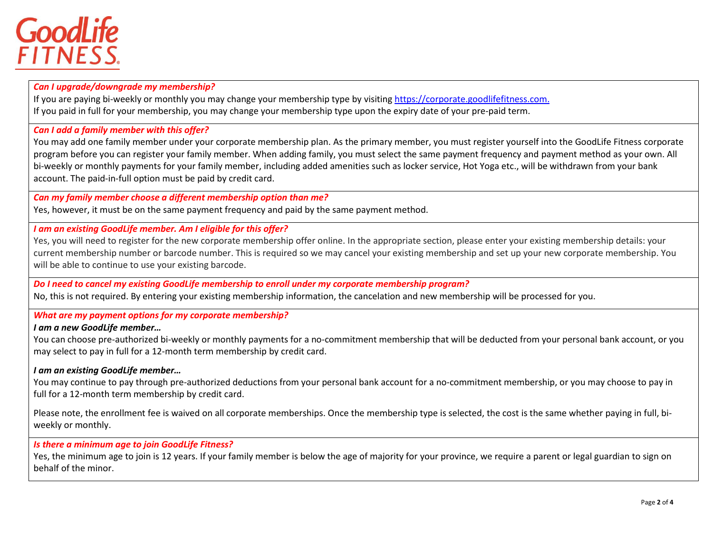# GoodLife<br>FITNESS.

*Can I upgrade/downgrade my membership?*

If you are paying bi-weekly or monthly you may change your membership type by visiting [https://corporate.goodlifefitness.com.](https://corporate.goodlifefitness.com/) If you paid in full for your membership, you may change your membership type upon the expiry date of your pre-paid term.

*Can I add a family member with this offer?*

You may add one family member under your corporate membership plan. As the primary member, you must register yourself into the GoodLife Fitness corporate program before you can register your family member. When adding family, you must select the same payment frequency and payment method as your own. All bi-weekly or monthly payments for your family member, including added amenities such as locker service, Hot Yoga etc., will be withdrawn from your bank account. The paid-in-full option must be paid by credit card.

# *Can my family member choose a different membership option than me?*

Yes, however, it must be on the same payment frequency and paid by the same payment method.

## *I am an existing GoodLife member. Am I eligible for this offer?*

Yes, you will need to register for the new corporate membership offer online. In the appropriate section, please enter your existing membership details: your current membership number or barcode number. This is required so we may cancel your existing membership and set up your new corporate membership. You will be able to continue to use your existing barcode.

*Do I need to cancel my existing GoodLife membership to enroll under my corporate membership program?*

No, this is not required. By entering your existing membership information, the cancelation and new membership will be processed for you.

*What are my payment options for my corporate membership?*

## *I am a new GoodLife member…*

You can choose pre-authorized bi-weekly or monthly payments for a no-commitment membership that will be deducted from your personal bank account, or you may select to pay in full for a 12-month term membership by credit card.

## *I am an existing GoodLife member…*

You may continue to pay through pre-authorized deductions from your personal bank account for a no-commitment membership, or you may choose to pay in full for a 12-month term membership by credit card.

Please note, the enrollment fee is waived on all corporate memberships. Once the membership type is selected, the cost is the same whether paying in full, biweekly or monthly.

*Is there a minimum age to join GoodLife Fitness?*

Yes, the minimum age to join is 12 years. If your family member is below the age of majority for your province, we require a parent or legal guardian to sign on behalf of the minor.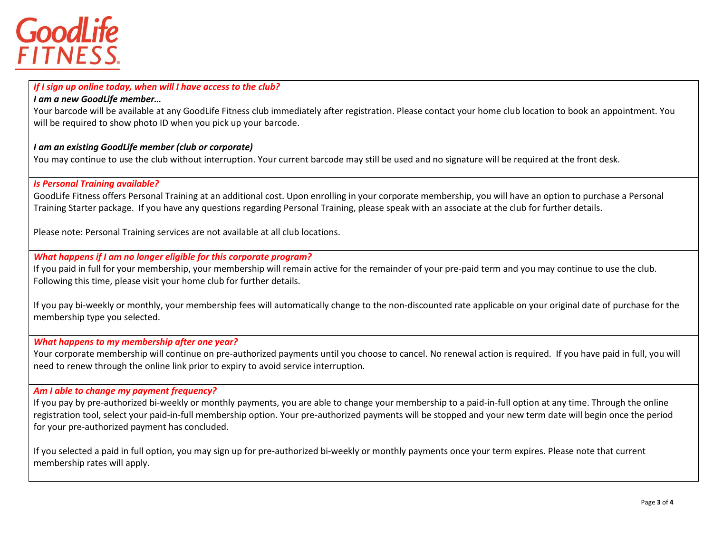

### *If I sign up online today, when will I have access to the club? I am a new GoodLife member…*

Your barcode will be available at any GoodLife Fitness club immediately after registration. Please contact your home club location to book an appointment. You will be required to show photo ID when you pick up your barcode.

#### *I am an existing GoodLife member (club or corporate)*

You may continue to use the club without interruption. Your current barcode may still be used and no signature will be required at the front desk.

#### *Is Personal Training available?*

GoodLife Fitness offers Personal Training at an additional cost. Upon enrolling in your corporate membership, you will have an option to purchase a Personal Training Starter package. If you have any questions regarding Personal Training, please speak with an associate at the club for further details.

Please note: Personal Training services are not available at all club locations.

# *What happens if I am no longer eligible for this corporate program?*

If you paid in full for your membership, your membership will remain active for the remainder of your pre-paid term and you may continue to use the club. Following this time, please visit your home club for further details.

If you pay bi-weekly or monthly, your membership fees will automatically change to the non-discounted rate applicable on your original date of purchase for the membership type you selected.

## *What happens to my membership after one year?*

Your corporate membership will continue on pre-authorized payments until you choose to cancel. No renewal action is required. If you have paid in full, you will need to renew through the online link prior to expiry to avoid service interruption.

# *Am I able to change my payment frequency?*

If you pay by pre-authorized bi-weekly or monthly payments, you are able to change your membership to a paid-in-full option at any time. Through the online registration tool, select your paid-in-full membership option. Your pre-authorized payments will be stopped and your new term date will begin once the period for your pre-authorized payment has concluded.

If you selected a paid in full option, you may sign up for pre-authorized bi-weekly or monthly payments once your term expires. Please note that current membership rates will apply.